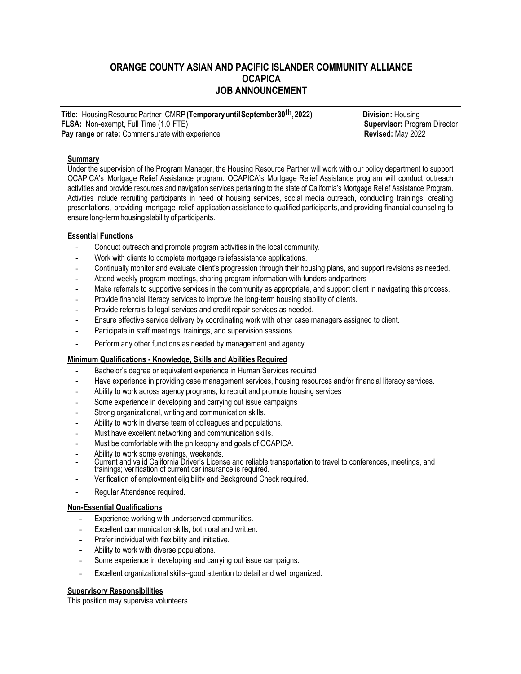# **ORANGE COUNTY ASIAN AND PACIFIC ISLANDER COMMUNITY ALLIANCE OCAPICA JOB ANNOUNCEMENT**

| Title: Housing Resource Partner-CMRP (Temporary until September 30th, 2022) | <b>Division: Housing</b>            |
|-----------------------------------------------------------------------------|-------------------------------------|
| <b>FLSA:</b> Non-exempt, Full Time (1.0 FTE)                                | <b>Supervisor: Program Director</b> |
| <b>Pay range or rate:</b> Commensurate with experience                      | Revised: May 2022                   |

# **Summary**

Under the supervision of the Program Manager, the Housing Resource Partner will work with our policy department to support OCAPICA's Mortgage Relief Assistance program. OCAPICA's Mortgage Relief Assistance program will conduct outreach activities and provide resources and navigation services pertaining to the state of California's Mortgage Relief Assistance Program. Activities include recruiting participants in need of housing services, social media outreach, conducting trainings, creating presentations, providing mortgage relief application assistance to qualified participants, and providing financial counseling to ensure long-termhousing stability of participants.

# **Essential Functions**

- Conduct outreach and promote program activities in the local community.
- Work with clients to complete mortgage reliefassistance applications.
- Continually monitor and evaluate client's progression through their housing plans, and support revisions as needed.
- Attend weekly program meetings, sharing program information with funders and partners
- Make referrals to supportive services in the community as appropriate, and support client in navigating this process.
- Provide financial literacy services to improve the long-term housing stability of clients.
- Provide referrals to legal services and credit repair services as needed.
- Ensure effective service delivery by coordinating work with other case managers assigned to client.
- Participate in staff meetings, trainings, and supervision sessions.
- Perform any other functions as needed by management and agency.

# **Minimum Qualifications - Knowledge, Skills and Abilities Required**

- Bachelor's degree or equivalent experience in Human Services required
- Have experience in providing case management services, housing resources and/or financial literacy services.
- Ability to work across agency programs, to recruit and promote housing services
- Some experience in developing and carrying out issue campaigns
- Strong organizational, writing and communication skills.
- Ability to work in diverse team of colleagues and populations.
- Must have excellent networking and communication skills.
- Must be comfortable with the philosophy and goals of OCAPICA.
- Ability to work some evenings, weekends.
- Current and valid California Driver's License and reliable transportation to travel to conferences, meetings, and trainings; verification of current car insurance is required.
- Verification of employment eligibility and Background Check required.
- Regular Attendance required.

# **Non-Essential Qualifications**

- Experience working with underserved communities.
- Excellent communication skills, both oral and written.
- Prefer individual with flexibility and initiative.
- Ability to work with diverse populations.
- Some experience in developing and carrying out issue campaigns.
- Excellent organizational skills--good attention to detail and well organized.

# **Supervisory Responsibilities**

This position may supervise volunteers.